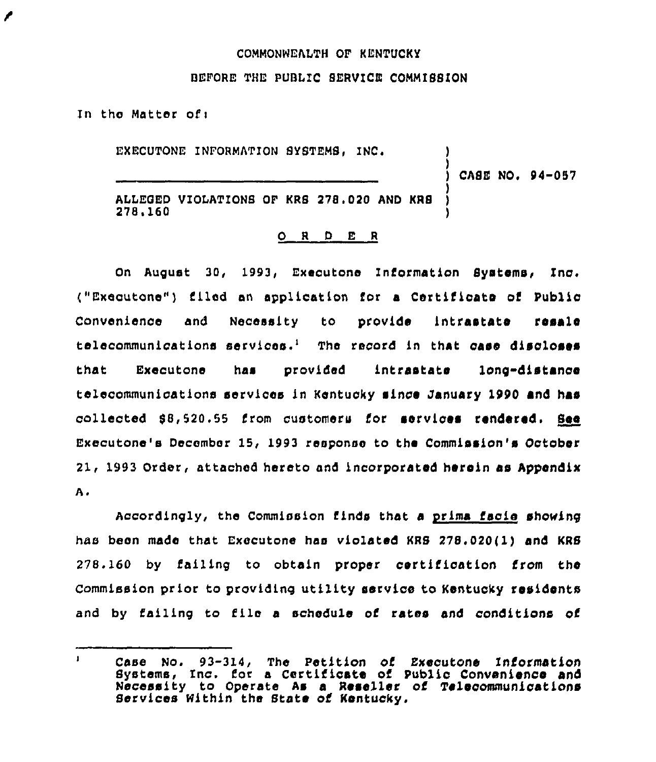## COMMONNEALTH OF KLNTUCKY

## BEFORE THE PUBLIC SERVICE COMMISSION

In the Matter of:

∕

EXECUTONE INFORMATION SYSTEMS, INC. ) CASE NO. 94-057 )

ALLEGED VIOLATIONS OF KRS 278.020 AND KRS<br>278.160  $278.160$  )

## 0 <sup>R</sup> <sup>D</sup> E <sup>R</sup>

On August 30, 1993, Executone Information Systems, Inc. ("Exeoutone") filed an application for a Certificate of Public Convenience and Necessity to provide intrastate resale telecommunications services.<sup>1</sup> The record in that case discloses that Executone has provided intrastate long"distance telecommunications services in Kentucky since January 1990 and has collected 88,520,55 from customers for services rendered. See Executone's December 15, 1993 response to the Commission's October 21, 1993 Order, attached hereto and incorporated herein as Appendix Α.

Accordingly, the Commission finds that a prima facie showing has been made that Executone has violated KRS 278.020(1) and KRS 278. 160 by failing to obtain proper certification from the Commission prior to providing utility service to Kentucky residents and by failing to file <sup>a</sup> schedule of rates and conditions of

 $\mathbf{I}$ case No. 93-314, The petition of Executone Information Systems, Inc. for a Certificate of Public Convenience and Necessity to Operate As <sup>a</sup> Reseller of Telecommunications Services Nithin the State of Kentucky.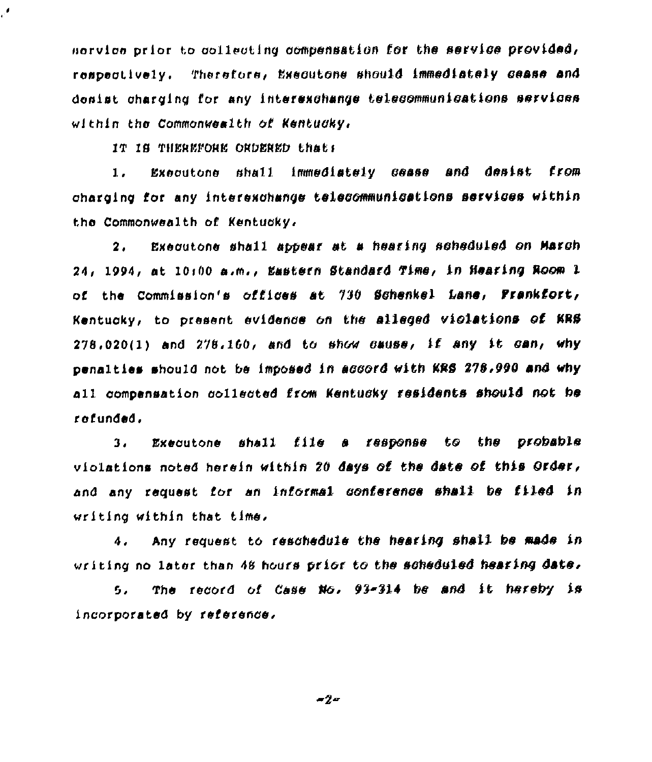norvice prior to collecting compensation for the service provided, respectively. Therefore, Executone should immediately cease and donist charging for any interexchange telecommunications services within the Commonwealth of Kentudky,

IT IS THEREFORE ORDERED that:

J,

Executone shall immediately cease and desist from  $1.1$ charging for any interexchange telecommunications services within the Commonwealth of Kentucky.

Executone shall appear at a hearing scheduled on March  $\mathbf{2}$  . 24, 1994, at 10:00 a.m., Eastern Standard Time, in Hearing Room 1 of the Commission's offices at 730 Schenkel Lane, Frankfort, Kentucky, to present evidence on the alleged violations of KRS  $278.020(1)$  and  $278.160$ , and to show cause, if any it can, why penalties should not be imposed in accord with KRS 278.990 and why all compensation collected from Kentucky residents should not be refunded.

Executone shall file a response to the probable  $3<sub>1</sub>$ violations noted herein within 20 days of the date of this Order, and any request for an informal conference shall be filed in writing within that time.

Any request to reschedule the hearing shall be made in 4. writing no later than 48 hours prior to the scheduled hearing date.

The record of Case No. 93-314 be and it hereby is  $5.$ incorporated by reference.

 $-2 -$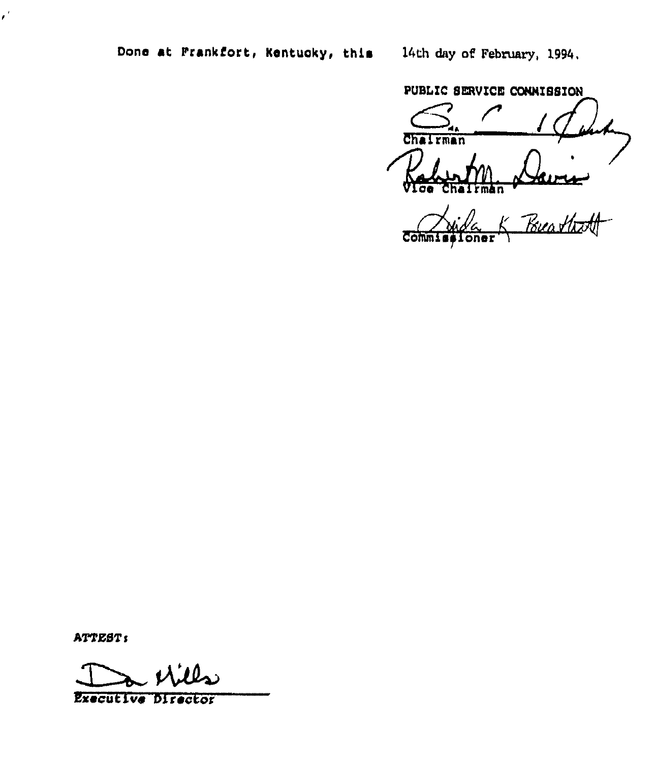14th day of February, 1994.

PUBLIC SERVICE CONNISSION

Chairman Burea<br>Buattett ħπ

**Commi** oner

ATTEST:

 $\epsilon^2$ 

**Executive Director**